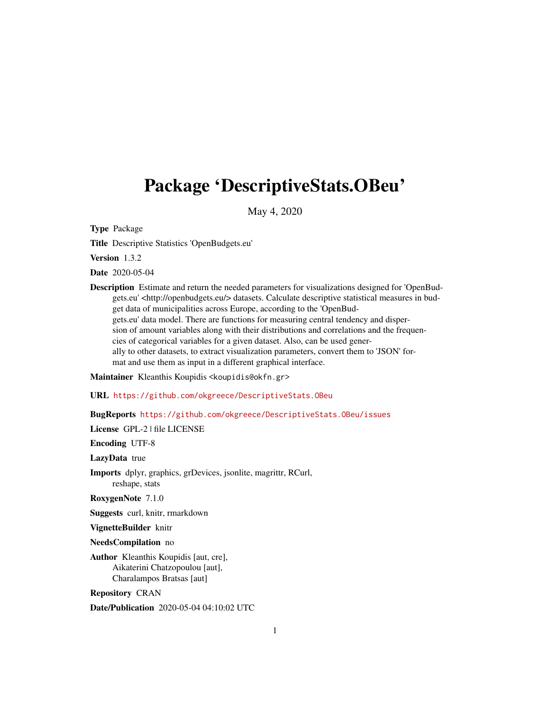# <span id="page-0-0"></span>Package 'DescriptiveStats.OBeu'

May 4, 2020

Type Package

Title Descriptive Statistics 'OpenBudgets.eu'

Version 1.3.2

Date 2020-05-04

Description Estimate and return the needed parameters for visualizations designed for 'OpenBudgets.eu' <http://openbudgets.eu/> datasets. Calculate descriptive statistical measures in budget data of municipalities across Europe, according to the 'OpenBudgets.eu' data model. There are functions for measuring central tendency and dispersion of amount variables along with their distributions and correlations and the frequencies of categorical variables for a given dataset. Also, can be used generally to other datasets, to extract visualization parameters, convert them to 'JSON' format and use them as input in a different graphical interface.

Maintainer Kleanthis Koupidis <koupidis@okfn.gr>

URL <https://github.com/okgreece/DescriptiveStats.OBeu>

BugReports <https://github.com/okgreece/DescriptiveStats.OBeu/issues>

License GPL-2 | file LICENSE

Encoding UTF-8

LazyData true

Imports dplyr, graphics, grDevices, jsonlite, magrittr, RCurl, reshape, stats

RoxygenNote 7.1.0

Suggests curl, knitr, rmarkdown

VignetteBuilder knitr

NeedsCompilation no

Author Kleanthis Koupidis [aut, cre], Aikaterini Chatzopoulou [aut], Charalampos Bratsas [aut]

Repository CRAN

Date/Publication 2020-05-04 04:10:02 UTC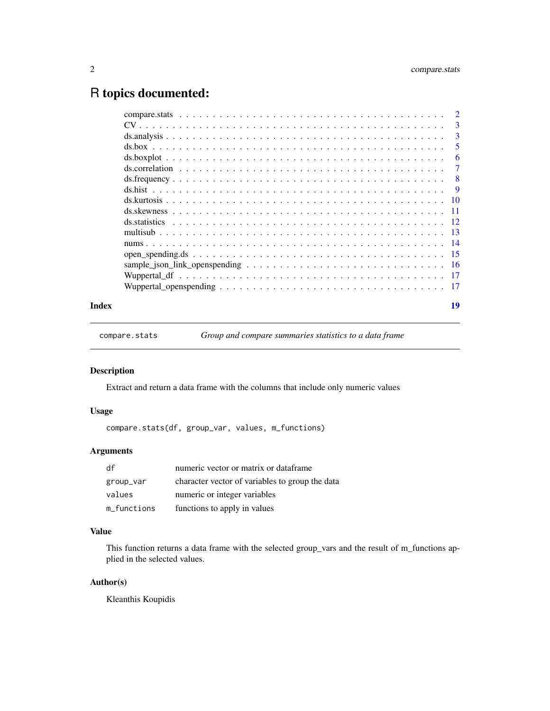# <span id="page-1-0"></span>R topics documented:

|  | $\mathcal{L}$   |
|--|-----------------|
|  | 3               |
|  | 3               |
|  | 5               |
|  | 6               |
|  | 7               |
|  | 8               |
|  | <b>9</b>        |
|  |                 |
|  |                 |
|  |                 |
|  | $\overline{13}$ |
|  | - 14            |
|  | - 15            |
|  |                 |
|  |                 |
|  |                 |
|  |                 |

#### **Index** 2008 **Index** 2008 **Index**

compare.stats *Group and compare summaries statistics to a data frame*

# Description

Extract and return a data frame with the columns that include only numeric values

# Usage

compare.stats(df, group\_var, values, m\_functions)

# Arguments

| df          | numeric vector or matrix or dataframe           |
|-------------|-------------------------------------------------|
| group_var   | character vector of variables to group the data |
| values      | numeric or integer variables                    |
| m_functions | functions to apply in values                    |

# Value

This function returns a data frame with the selected group\_vars and the result of m\_functions applied in the selected values.

# Author(s)

Kleanthis Koupidis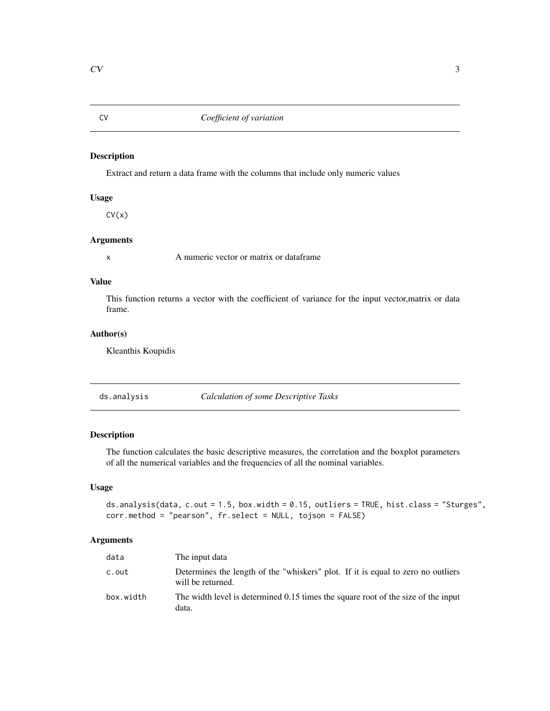# <span id="page-2-0"></span>CV *Coefficient of variation*

# Description

Extract and return a data frame with the columns that include only numeric values

# Usage

 $CV(x)$ 

#### Arguments

x A numeric vector or matrix or dataframe

# Value

This function returns a vector with the coefficient of variance for the input vector,matrix or data frame.

# Author(s)

Kleanthis Koupidis

<span id="page-2-1"></span>ds.analysis *Calculation of some Descriptive Tasks*

# Description

The function calculates the basic descriptive measures, the correlation and the boxplot parameters of all the numerical variables and the frequencies of all the nominal variables.

# Usage

```
ds.analysis(data, c.out = 1.5, box.width = 0.15, outliers = TRUE, hist.class = "Sturges",
corr.method = "pearson", fr.select = NULL, tojson = FALSE)
```
# Arguments

| data      | The input data                                                                                        |
|-----------|-------------------------------------------------------------------------------------------------------|
| c.out     | Determines the length of the "whiskers" plot. If it is equal to zero no outliers<br>will be returned. |
| box.width | The width level is determined 0.15 times the square root of the size of the input<br>data.            |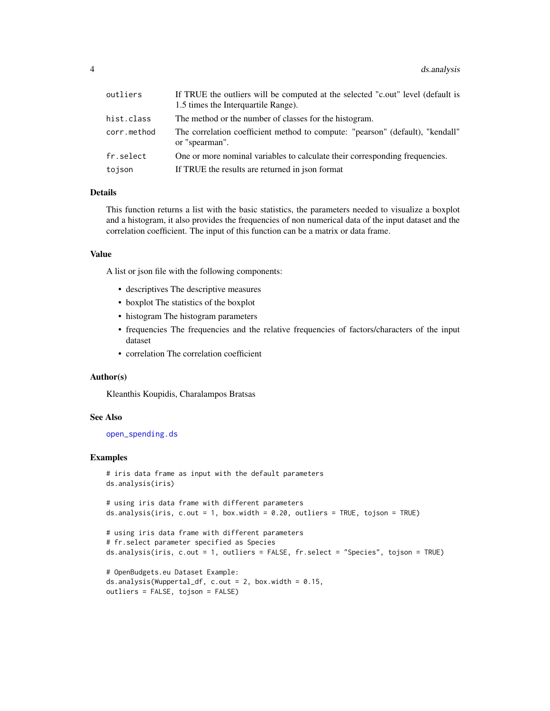<span id="page-3-0"></span>

| outliers    | If TRUE the outliers will be computed at the selected "c.out" level (default is<br>1.5 times the Interquartile Range). |
|-------------|------------------------------------------------------------------------------------------------------------------------|
| hist.class  | The method or the number of classes for the histogram.                                                                 |
| corr.method | The correlation coefficient method to compute: "pearson" (default), "kendall"<br>or "spearman".                        |
| fr.select   | One or more nominal variables to calculate their corresponding frequencies.                                            |
| tojson      | If TRUE the results are returned in json format                                                                        |
|             |                                                                                                                        |

# Details

This function returns a list with the basic statistics, the parameters needed to visualize a boxplot and a histogram, it also provides the frequencies of non numerical data of the input dataset and the correlation coefficient. The input of this function can be a matrix or data frame.

# Value

A list or json file with the following components:

- descriptives The descriptive measures
- boxplot The statistics of the boxplot
- histogram The histogram parameters
- frequencies The frequencies and the relative frequencies of factors/characters of the input dataset
- correlation The correlation coefficient

#### Author(s)

Kleanthis Koupidis, Charalampos Bratsas

#### See Also

# [open\\_spending.ds](#page-14-1)

#### Examples

```
# iris data frame as input with the default parameters
ds.analysis(iris)
# using iris data frame with different parameters
ds.analysis(iris, c.out = 1, box.width = 0.20, outliers = TRUE, tojson = TRUE)
# using iris data frame with different parameters
# fr.select parameter specified as Species
ds.analysis(iris, c.out = 1, outliers = FALSE, fr.select = "Species", tojson = TRUE)
```

```
# OpenBudgets.eu Dataset Example:
ds.analysis(Wuppertal_df, c.out = 2, box<u>width = 0.15</u>,outliers = FALSE, tojson = FALSE)
```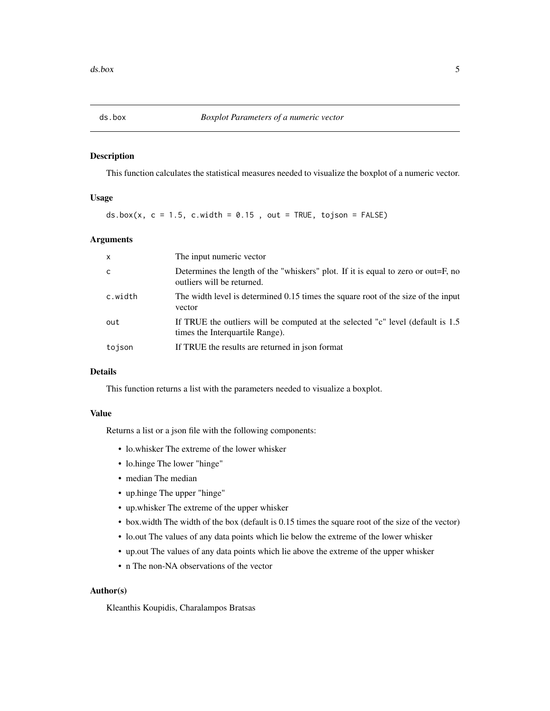<span id="page-4-1"></span><span id="page-4-0"></span>

#### Description

This function calculates the statistical measures needed to visualize the boxplot of a numeric vector.

# Usage

 $ds.box(x, c = 1.5, c.width = 0.15, out = TRUE, tojson = FALSE)$ 

#### Arguments

| $\mathsf{x}$ | The input numeric vector                                                                                           |
|--------------|--------------------------------------------------------------------------------------------------------------------|
| C            | Determines the length of the "whiskers" plot. If it is equal to zero or out=F, no<br>outliers will be returned.    |
| c.width      | The width level is determined 0.15 times the square root of the size of the input<br>vector                        |
| out          | If TRUE the outliers will be computed at the selected "c" level (default is 1.5<br>times the Interquartile Range). |
| tojson       | If TRUE the results are returned in json format                                                                    |

#### Details

This function returns a list with the parameters needed to visualize a boxplot.

#### Value

Returns a list or a json file with the following components:

- lo.whisker The extreme of the lower whisker
- lo.hinge The lower "hinge"
- median The median
- up.hinge The upper "hinge"
- up.whisker The extreme of the upper whisker
- box.width The width of the box (default is 0.15 times the square root of the size of the vector)
- lo.out The values of any data points which lie below the extreme of the lower whisker
- up.out The values of any data points which lie above the extreme of the upper whisker
- n The non-NA observations of the vector

#### Author(s)

Kleanthis Koupidis, Charalampos Bratsas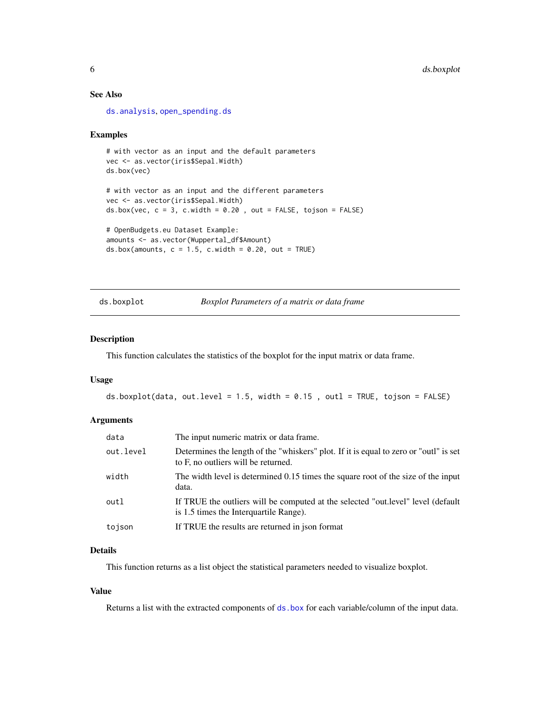# <span id="page-5-0"></span>See Also

[ds.analysis](#page-2-1), [open\\_spending.ds](#page-14-1)

#### Examples

```
# with vector as an input and the default parameters
vec <- as.vector(iris$Sepal.Width)
ds.box(vec)
# with vector as an input and the different parameters
vec <- as.vector(iris$Sepal.Width)
ds.box(vec, c = 3, c.width = 0.20, out = FALSE, tojson = FALSE)# OpenBudgets.eu Dataset Example:
amounts <- as.vector(Wuppertal_df$Amount)
ds.box(amounts, c = 1.5, c.width = 0.20, out = TRUE)
```
ds.boxplot *Boxplot Parameters of a matrix or data frame*

# Description

This function calculates the statistics of the boxplot for the input matrix or data frame.

# Usage

```
ds.boxplot(data, out.level = 1.5, width = 0.15, outl = TRUE, tojson = FALSE)
```
# Arguments

| data      | The input numeric matrix or data frame.                                                                                      |
|-----------|------------------------------------------------------------------------------------------------------------------------------|
| out.level | Determines the length of the "whiskers" plot. If it is equal to zero or "outl" is set<br>to F, no outliers will be returned. |
| width     | The width level is determined 0.15 times the square root of the size of the input<br>data.                                   |
| outl      | If TRUE the outliers will be computed at the selected "out. level" level (default<br>is 1.5 times the Interguartile Range).  |
| tojson    | If TRUE the results are returned in json format                                                                              |

# Details

This function returns as a list object the statistical parameters needed to visualize boxplot.

# Value

Returns a list with the extracted components of [ds.box](#page-4-1) for each variable/column of the input data.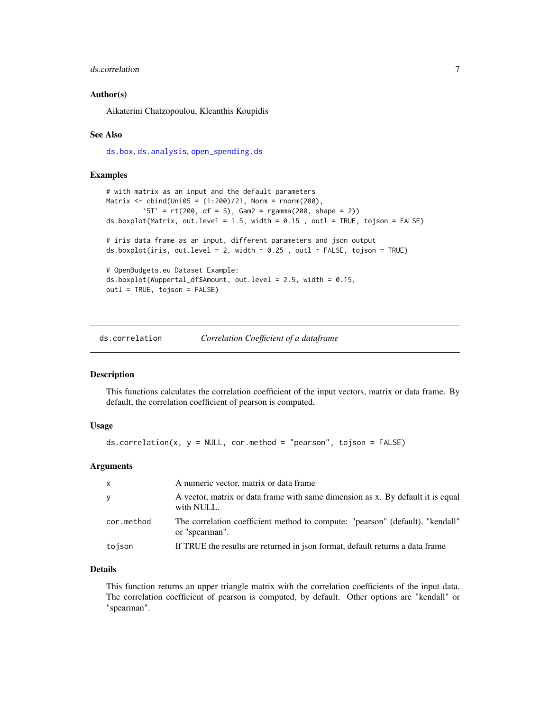# <span id="page-6-0"></span>ds.correlation 7

#### Author(s)

Aikaterini Chatzopoulou, Kleanthis Koupidis

#### See Also

[ds.box](#page-4-1), [ds.analysis](#page-2-1), [open\\_spending.ds](#page-14-1)

#### Examples

```
# with matrix as an input and the default parameters
Matrix \le cbind(Uni05 = (1:200)/21, Norm = rnorm(200),
         `5T` = rt(200, df = 5), Gam2 = rgamma(200, shape = 2))
ds.boxplot(Matrix, out.level = 1.5, width = 0.15 , outl = TRUE, tojson = FALSE)
# iris data frame as an input, different parameters and json output
ds.boxplot(iris, out.level = 2, width = 0.25 , outl = FALSE, tojson = TRUE)
# OpenBudgets.eu Dataset Example:
ds.boxplot(Wuppertal_df$Amount, out.level = 2.5, width = 0.15,
out1 = TRUE, tojson = FALSE)
```
ds.correlation *Correlation Coefficient of a dataframe*

# **Description**

This functions calculates the correlation coefficient of the input vectors, matrix or data frame. By default, the correlation coefficient of pearson is computed.

#### Usage

```
ds.correlation(x, y = NULL, cor.method = "pearson", tojson = FALSE)
```
#### Arguments

| $\mathsf{x}$ | A numeric vector, matrix or data frame                                                          |
|--------------|-------------------------------------------------------------------------------------------------|
| У            | A vector, matrix or data frame with same dimension as x. By default it is equal<br>with NULL.   |
| cor.method   | The correlation coefficient method to compute: "pearson" (default), "kendall"<br>or "spearman". |
| tojson       | If TRUE the results are returned in json format, default returns a data frame                   |

# Details

This function returns an upper triangle matrix with the correlation coefficients of the input data. The correlation coefficient of pearson is computed, by default. Other options are "kendall" or "spearman".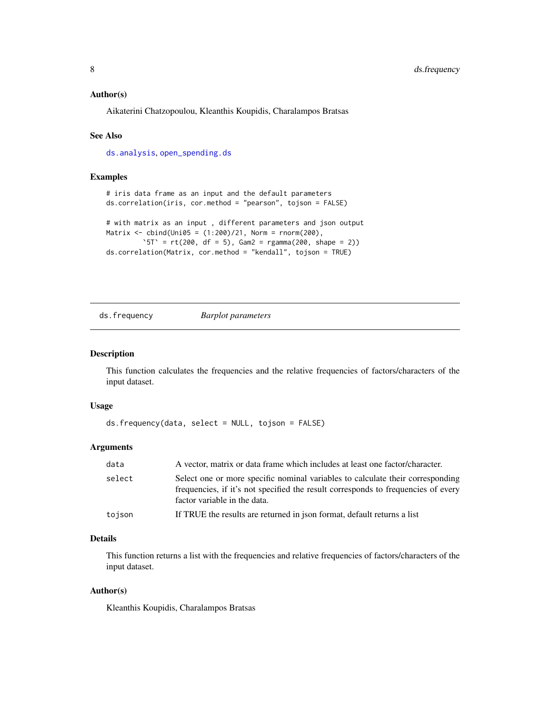#### <span id="page-7-0"></span>Author(s)

Aikaterini Chatzopoulou, Kleanthis Koupidis, Charalampos Bratsas

# See Also

[ds.analysis](#page-2-1), [open\\_spending.ds](#page-14-1)

# Examples

```
# iris data frame as an input and the default parameters
ds.correlation(iris, cor.method = "pearson", tojson = FALSE)
# with matrix as an input , different parameters and json output
Matrix <- cbind(Uni05 = (1:200)/21, Norm = rnorm(200),
         `5T` = rt(200, df = 5), Gam2 = rgamma(200, shape = 2))
ds.correlation(Matrix, cor.method = "kendall", tojson = TRUE)
```
ds.frequency *Barplot parameters*

#### Description

This function calculates the frequencies and the relative frequencies of factors/characters of the input dataset.

# Usage

ds.frequency(data, select = NULL, tojson = FALSE)

#### Arguments

| data   | A vector, matrix or data frame which includes at least one factor/character.                                                                                                                        |
|--------|-----------------------------------------------------------------------------------------------------------------------------------------------------------------------------------------------------|
| select | Select one or more specific nominal variables to calculate their corresponding<br>frequencies, if it's not specified the result corresponds to frequencies of every<br>factor variable in the data. |
| tojson | If TRUE the results are returned in json format, default returns a list                                                                                                                             |

# Details

This function returns a list with the frequencies and relative frequencies of factors/characters of the input dataset.

#### Author(s)

Kleanthis Koupidis, Charalampos Bratsas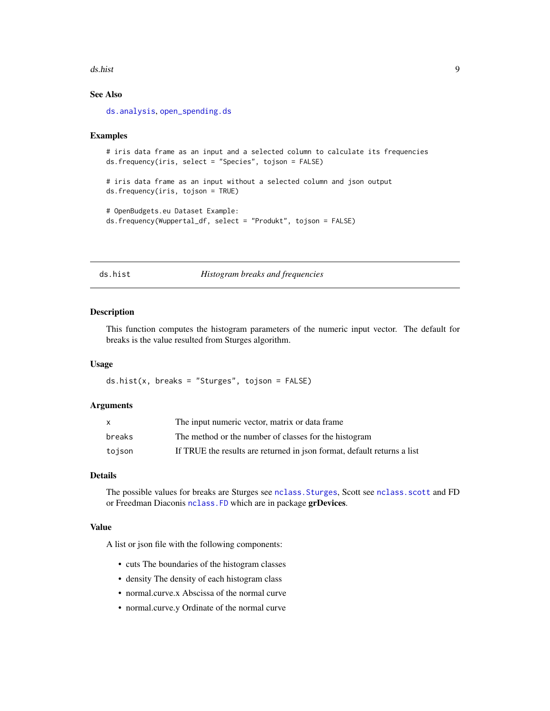#### <span id="page-8-0"></span>ds.hist 9

# See Also

[ds.analysis](#page-2-1), [open\\_spending.ds](#page-14-1)

ds.frequency(iris, tojson = TRUE)

#### Examples

```
# iris data frame as an input and a selected column to calculate its frequencies
ds.frequency(iris, select = "Species", tojson = FALSE)
# iris data frame as an input without a selected column and json output
```

```
# OpenBudgets.eu Dataset Example:
ds.frequency(Wuppertal_df, select = "Produkt", tojson = FALSE)
```
#### ds.hist *Histogram breaks and frequencies*

#### Description

This function computes the histogram parameters of the numeric input vector. The default for breaks is the value resulted from Sturges algorithm.

#### Usage

ds.hist(x, breaks = "Sturges", tojson = FALSE)

#### Arguments

|        | The input numeric vector, matrix or data frame.                         |
|--------|-------------------------------------------------------------------------|
| breaks | The method or the number of classes for the histogram                   |
| tojson | If TRUE the results are returned in json format, default returns a list |

# Details

The possible values for breaks are Sturges see [nclass.Sturges](#page-0-0), Scott see [nclass.scott](#page-0-0) and FD or Freedman Diaconis [nclass.FD](#page-0-0) which are in package grDevices.

#### Value

A list or json file with the following components:

- cuts The boundaries of the histogram classes
- density The density of each histogram class
- normal.curve.x Abscissa of the normal curve
- normal.curve.y Ordinate of the normal curve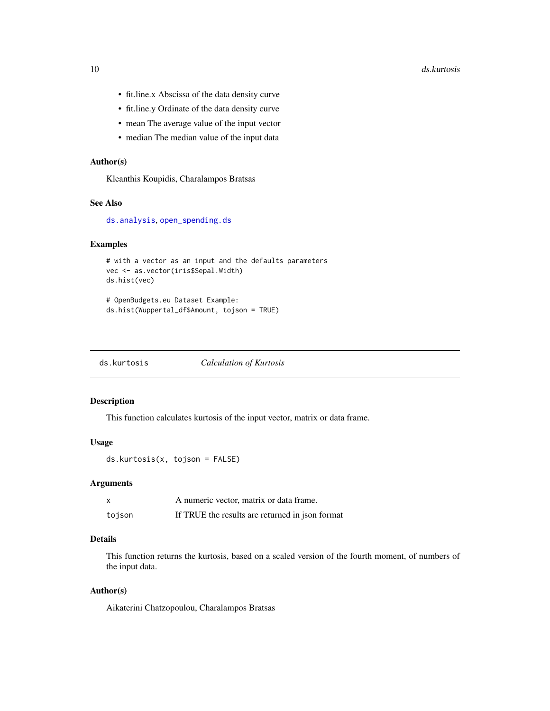- <span id="page-9-0"></span>• fit.line.x Abscissa of the data density curve
- fit.line.y Ordinate of the data density curve
- mean The average value of the input vector
- median The median value of the input data

# Author(s)

Kleanthis Koupidis, Charalampos Bratsas

# See Also

[ds.analysis](#page-2-1), [open\\_spending.ds](#page-14-1)

#### Examples

```
# with a vector as an input and the defaults parameters
vec <- as.vector(iris$Sepal.Width)
ds.hist(vec)
```
# OpenBudgets.eu Dataset Example: ds.hist(Wuppertal\_df\$Amount, tojson = TRUE)

<span id="page-9-1"></span>ds.kurtosis *Calculation of Kurtosis*

# Description

This function calculates kurtosis of the input vector, matrix or data frame.

# Usage

ds.kurtosis(x, tojson = FALSE)

# Arguments

| $\mathsf{x}$ | A numeric vector, matrix or data frame.         |
|--------------|-------------------------------------------------|
| tojson       | If TRUE the results are returned in json format |

# Details

This function returns the kurtosis, based on a scaled version of the fourth moment, of numbers of the input data.

#### Author(s)

Aikaterini Chatzopoulou, Charalampos Bratsas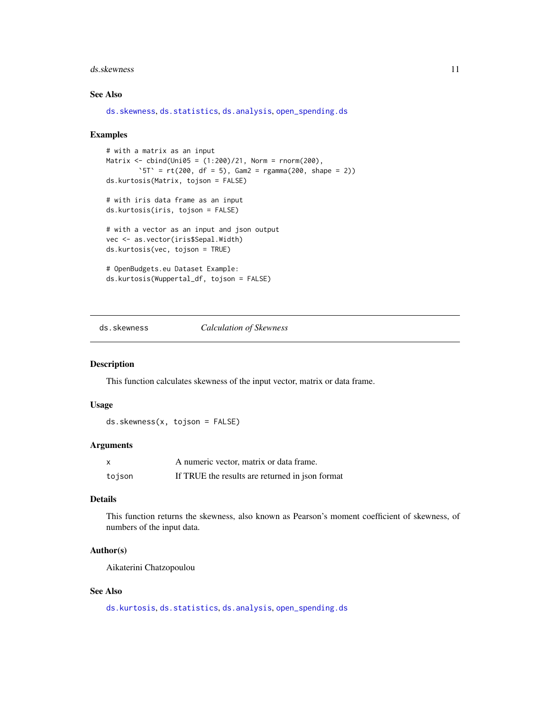#### <span id="page-10-0"></span>ds.skewness 11

# See Also

[ds.skewness](#page-10-1), [ds.statistics](#page-11-1), [ds.analysis](#page-2-1), [open\\_spending.ds](#page-14-1)

#### Examples

```
# with a matrix as an input
Matrix \le cbind(Uni05 = (1:200)/21, Norm = rnorm(200),
        `5T` = rt(200, df = 5), Gam2 = rgamma(200, shape = 2))
ds.kurtosis(Matrix, tojson = FALSE)
# with iris data frame as an input
ds.kurtosis(iris, tojson = FALSE)
# with a vector as an input and json output
vec <- as.vector(iris$Sepal.Width)
ds.kurtosis(vec, tojson = TRUE)
# OpenBudgets.eu Dataset Example:
ds.kurtosis(Wuppertal_df, tojson = FALSE)
```
<span id="page-10-1"></span>ds.skewness *Calculation of Skewness*

# Description

This function calculates skewness of the input vector, matrix or data frame.

#### Usage

ds.skewness(x, tojson = FALSE)

#### Arguments

| $\boldsymbol{\mathsf{x}}$ | A numeric vector, matrix or data frame.         |
|---------------------------|-------------------------------------------------|
| tojson                    | If TRUE the results are returned in json format |

# Details

This function returns the skewness, also known as Pearson's moment coefficient of skewness, of numbers of the input data.

# Author(s)

Aikaterini Chatzopoulou

# See Also

[ds.kurtosis](#page-9-1), [ds.statistics](#page-11-1), [ds.analysis](#page-2-1), [open\\_spending.ds](#page-14-1)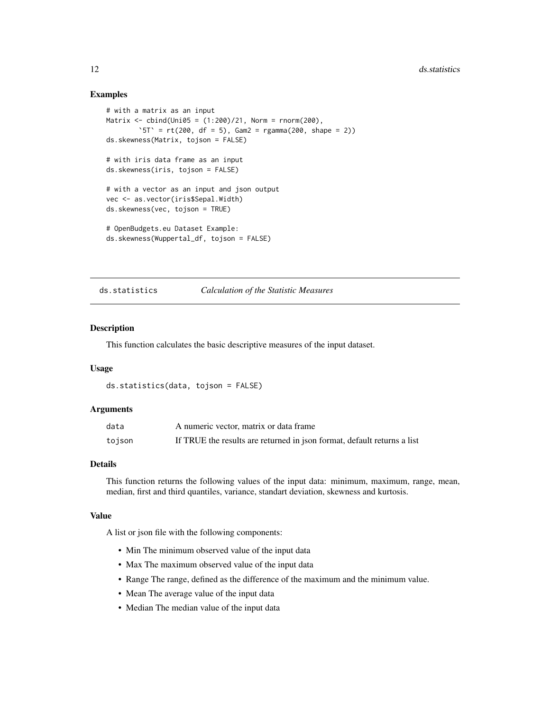#### Examples

```
# with a matrix as an input
Matrix \le cbind(Uni05 = (1:200)/21, Norm = rnorm(200),
        \text{'5T'} = \text{rt}(200, \text{ df} = 5), Gam2 = rgamma(200, shape = 2))
ds.skewness(Matrix, tojson = FALSE)
# with iris data frame as an input
ds.skewness(iris, tojson = FALSE)
# with a vector as an input and json output
vec <- as.vector(iris$Sepal.Width)
ds.skewness(vec, tojson = TRUE)
# OpenBudgets.eu Dataset Example:
ds.skewness(Wuppertal_df, tojson = FALSE)
```
<span id="page-11-1"></span>ds.statistics *Calculation of the Statistic Measures*

# Description

This function calculates the basic descriptive measures of the input dataset.

#### Usage

```
ds.statistics(data, tojson = FALSE)
```
# Arguments

| data   | A numeric vector, matrix or data frame                                  |
|--------|-------------------------------------------------------------------------|
| tojson | If TRUE the results are returned in json format, default returns a list |

# Details

This function returns the following values of the input data: minimum, maximum, range, mean, median, first and third quantiles, variance, standart deviation, skewness and kurtosis.

#### Value

A list or json file with the following components:

- Min The minimum observed value of the input data
- Max The maximum observed value of the input data
- Range The range, defined as the difference of the maximum and the minimum value.
- Mean The average value of the input data
- Median The median value of the input data

<span id="page-11-0"></span>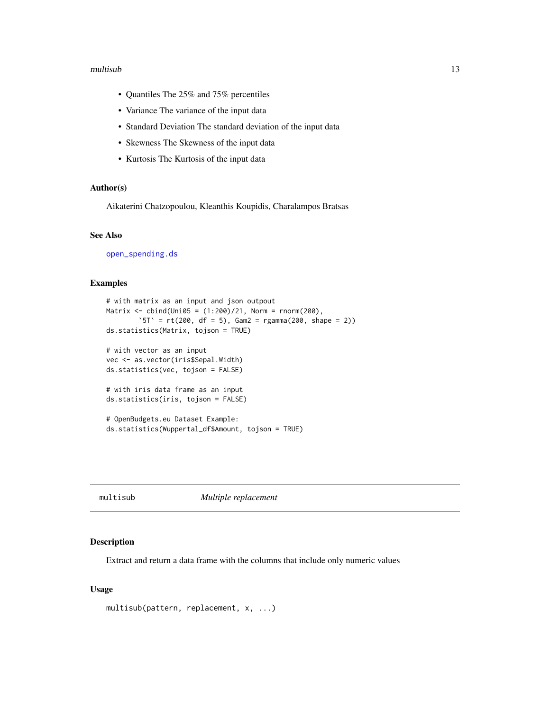#### <span id="page-12-0"></span>multisub the contract of the contract of the contract of the contract of the contract of the contract of the contract of the contract of the contract of the contract of the contract of the contract of the contract of the c

- Quantiles The 25% and 75% percentiles
- Variance The variance of the input data
- Standard Deviation The standard deviation of the input data
- Skewness The Skewness of the input data
- Kurtosis The Kurtosis of the input data

# Author(s)

Aikaterini Chatzopoulou, Kleanthis Koupidis, Charalampos Bratsas

# See Also

[open\\_spending.ds](#page-14-1)

# Examples

```
# with matrix as an input and json outpout
Matrix \le cbind(Uni05 = (1:200)/21, Norm = rnorm(200),
         \text{'5T'} = \text{rt}(200, df = 5), \text{ Gam2} = \text{rgamma}(200, shape = 2))ds.statistics(Matrix, tojson = TRUE)
# with vector as an input
vec <- as.vector(iris$Sepal.Width)
ds.statistics(vec, tojson = FALSE)
# with iris data frame as an input
ds.statistics(iris, tojson = FALSE)
# OpenBudgets.eu Dataset Example:
ds.statistics(Wuppertal_df$Amount, tojson = TRUE)
```
multisub *Multiple replacement*

#### Description

Extract and return a data frame with the columns that include only numeric values

#### Usage

```
multisub(pattern, replacement, x, ...)
```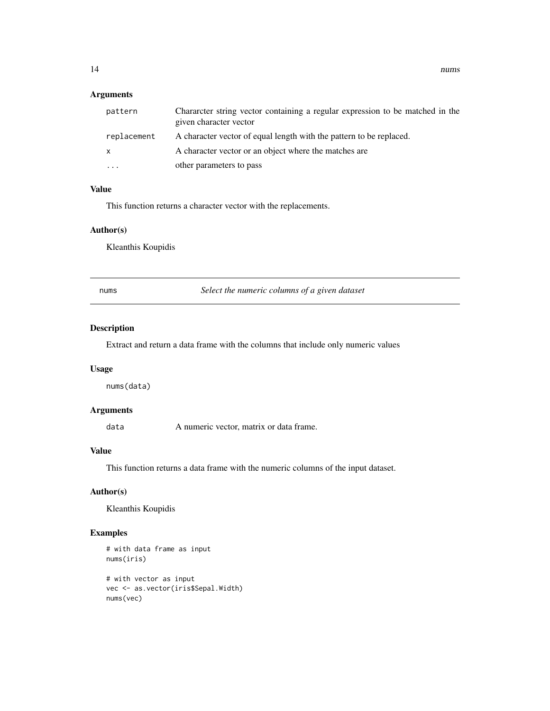<span id="page-13-0"></span>14 nums

# Arguments

| pattern     | Character string vector containing a regular expression to be matched in the<br>given character vector |
|-------------|--------------------------------------------------------------------------------------------------------|
| replacement | A character vector of equal length with the pattern to be replaced.                                    |
| X           | A character vector or an object where the matches are                                                  |
| .           | other parameters to pass                                                                               |

# Value

This function returns a character vector with the replacements.

# Author(s)

Kleanthis Koupidis

nums *Select the numeric columns of a given dataset*

# Description

Extract and return a data frame with the columns that include only numeric values

# Usage

nums(data)

# Arguments

data A numeric vector, matrix or data frame.

# Value

This function returns a data frame with the numeric columns of the input dataset.

# Author(s)

Kleanthis Koupidis

# Examples

```
# with data frame as input
nums(iris)
# with vector as input
vec <- as.vector(iris$Sepal.Width)
nums(vec)
```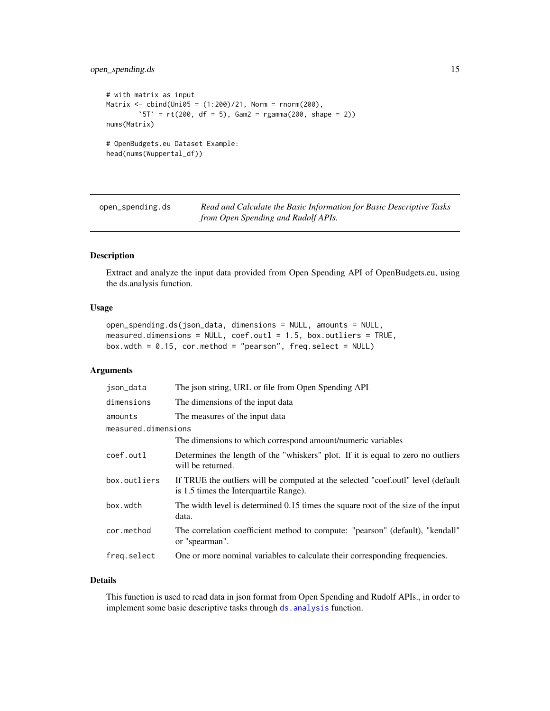# <span id="page-14-0"></span>open\_spending.ds 15

```
# with matrix as input
Matrix \le cbind(Uni05 = (1:200)/21, Norm = rnorm(200),
        '5T' = rt(200, df = 5), Gam2 = rgamma(200, shape = 2))
nums(Matrix)
# OpenBudgets.eu Dataset Example:
head(nums(Wuppertal_df))
```
<span id="page-14-1"></span>open\_spending.ds *Read and Calculate the Basic Information for Basic Descriptive Tasks from Open Spending and Rudolf APIs.*

### Description

Extract and analyze the input data provided from Open Spending API of OpenBudgets.eu, using the ds.analysis function.

#### Usage

```
open_spending.ds(json_data, dimensions = NULL, amounts = NULL,
measured.dimensions = NULL, coef.outl = 1.5, box.outliers = TRUE,
box.wdth = 0.15, cor.method = "pearson", freq.select = NULL)
```
# Arguments

| The json string, URL or file from Open Spending API                                                                        |  |
|----------------------------------------------------------------------------------------------------------------------------|--|
| The dimensions of the input data                                                                                           |  |
| The measures of the input data                                                                                             |  |
| measured.dimensions                                                                                                        |  |
| The dimensions to which correspond amount/numeric variables                                                                |  |
| Determines the length of the "whiskers" plot. If it is equal to zero no outliers<br>will be returned.                      |  |
| If TRUE the outliers will be computed at the selected "coef.outl" level (default<br>is 1.5 times the Interquartile Range). |  |
| The width level is determined 0.15 times the square root of the size of the input<br>data.                                 |  |
| The correlation coefficient method to compute: "pearson" (default), "kendall"<br>or "spearman".                            |  |
| One or more nominal variables to calculate their corresponding frequencies.                                                |  |
|                                                                                                                            |  |

#### Details

This function is used to read data in json format from Open Spending and Rudolf APIs., in order to implement some basic descriptive tasks through ds. analysis function.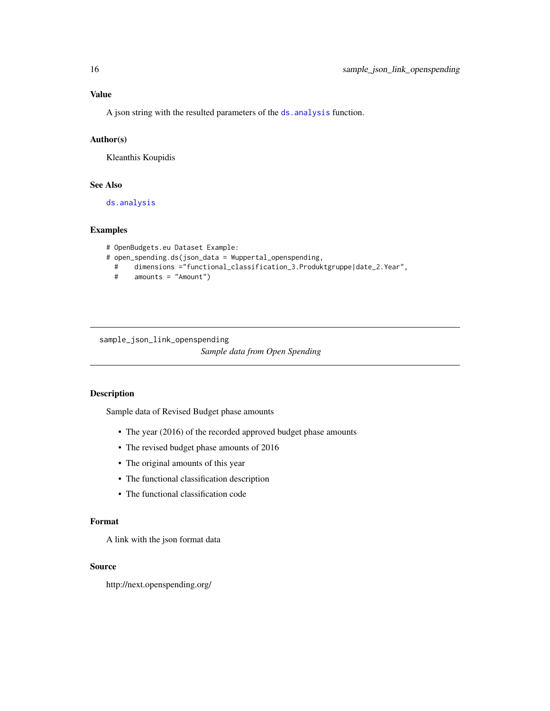# <span id="page-15-0"></span>Value

A json string with the resulted parameters of the ds. analysis function.

# Author(s)

Kleanthis Koupidis

# See Also

[ds.analysis](#page-2-1)

# Examples

```
# OpenBudgets.eu Dataset Example:
# open_spending.ds(json_data = Wuppertal_openspending,
 # dimensions ="functional_classification_3.Produktgruppe|date_2.Year",
 # amounts = "Amount")
```
sample\_json\_link\_openspending *Sample data from Open Spending*

# Description

Sample data of Revised Budget phase amounts

- The year (2016) of the recorded approved budget phase amounts
- The revised budget phase amounts of 2016
- The original amounts of this year
- The functional classification description
- The functional classification code

#### Format

A link with the json format data

#### Source

http://next.openspending.org/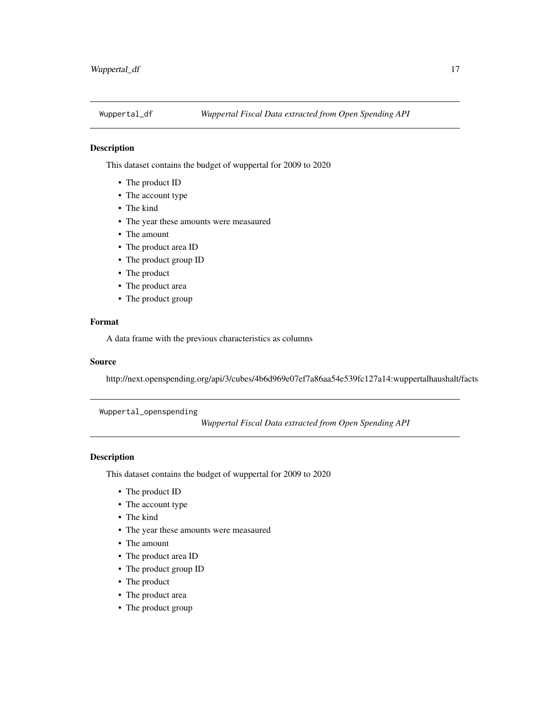<span id="page-16-0"></span>

# Description

This dataset contains the budget of wuppertal for 2009 to 2020

- The product ID
- The account type
- The kind
- The year these amounts were measaured
- The amount
- The product area ID
- The product group ID
- The product
- The product area
- The product group

# Format

A data frame with the previous characteristics as columns

#### Source

http://next.openspending.org/api/3/cubes/4b6d969e07ef7a86aa54e539fc127a14:wuppertalhaushalt/facts

Wuppertal\_openspending

*Wuppertal Fiscal Data extracted from Open Spending API*

# Description

This dataset contains the budget of wuppertal for 2009 to 2020

- The product ID
- The account type
- The kind
- The year these amounts were measaured
- The amount
- The product area ID
- The product group ID
- The product
- The product area
- The product group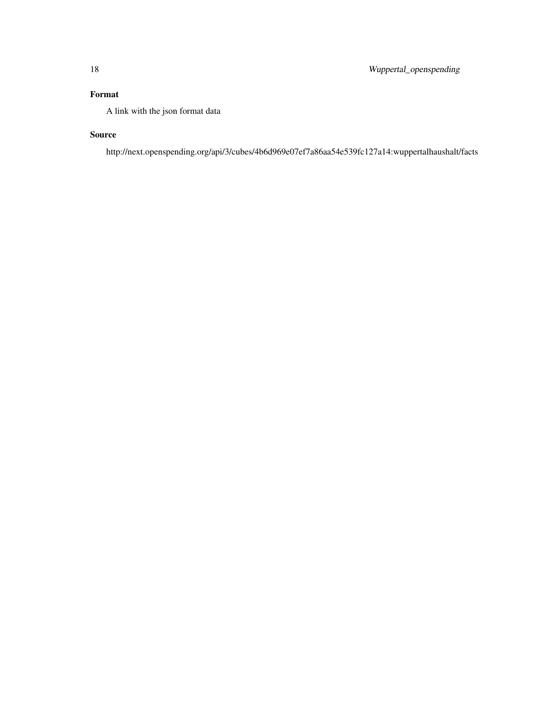# Format

A link with the json format data

# Source

http://next.openspending.org/api/3/cubes/4b6d969e07ef7a86aa54e539fc127a14:wuppertalhaushalt/facts